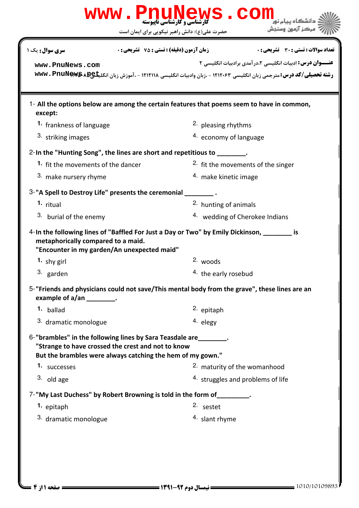|                                    | www.PnuNews.com<br><b>گارشناسی و کارشناسی ناپیوسته</b><br>حضرت علی(ع): دانش راهبر نیکویی برای ایمان است                                                                      | مركز آزمون وسنجش                                        |
|------------------------------------|------------------------------------------------------------------------------------------------------------------------------------------------------------------------------|---------------------------------------------------------|
| <b>سری سوال :</b> یک ۱             | <b>زمان آزمون (دقیقه) : تستی : 75 ٪ تشریحی : 0</b>                                                                                                                           | <b>تعداد سوالات : تستی : 30 ٪ تشریحی : 0</b>            |
| www.PnuNews.com                    | رشته تحصیلی/کد درس: مترجمی زبان انگلیسی ۱۲۱۲۰۶۳ - ،زبان وادبیات انگلیسی ۱۲۱۲۱۱۸ - ،آموزش زبان انگلیکه& www . PnuNew                                                          | عنــوان درس: ادبیات انگلیسی ۰،۲رآمدی برادبیات انگلیسی ۲ |
| except:                            | 1- All the options below are among the certain features that poems seem to have in common,                                                                                   |                                                         |
| 1. frankness of language           | 2. pleasing rhythms                                                                                                                                                          |                                                         |
| 3. striking images                 | 4. economy of language                                                                                                                                                       |                                                         |
|                                    | 2-In the "Hunting Song", the lines are short and repetitious to _______.                                                                                                     |                                                         |
| 1. fit the movements of the dancer |                                                                                                                                                                              | <sup>2.</sup> fit the movements of the singer           |
| 3. make nursery rhyme              | 4. make kinetic image                                                                                                                                                        |                                                         |
|                                    | 3-"A Spell to Destroy Life" presents the ceremonial                                                                                                                          |                                                         |
| 1. ritual                          | 2. hunting of animals                                                                                                                                                        |                                                         |
| 3. burial of the enemy             |                                                                                                                                                                              | <sup>4.</sup> wedding of Cherokee Indians               |
| metaphorically compared to a maid. | 4- In the following lines of "Baffled For Just a Day or Two" by Emily Dickinson, ________ is<br>"Encounter in my garden/An unexpected maid"                                  |                                                         |
| 1. shy girl                        | 2. woods                                                                                                                                                                     |                                                         |
| 3. garden                          | 4. the early rosebud                                                                                                                                                         |                                                         |
| example of a/an _________.         | 5-"Friends and physicians could not save/This mental body from the grave", these lines are an                                                                                |                                                         |
| 1. ballad                          | 2. epitaph                                                                                                                                                                   |                                                         |
| 3. dramatic monologue              | 4. elegy                                                                                                                                                                     |                                                         |
|                                    | 6-"brambles" in the following lines by Sara Teasdale are<br>"Strange to have crossed the crest and not to know<br>But the brambles were always catching the hem of my gown." |                                                         |
| 1. successes                       |                                                                                                                                                                              | 2. maturity of the womanhood                            |
| 3. old age                         |                                                                                                                                                                              | 4. struggles and problems of life                       |
|                                    | 7-"My Last Duchess" by Robert Browning is told in the form of ________.                                                                                                      |                                                         |
| 1. epitaph                         | 2. sestet                                                                                                                                                                    |                                                         |
| 3. dramatic monologue              | 4. slant rhyme                                                                                                                                                               |                                                         |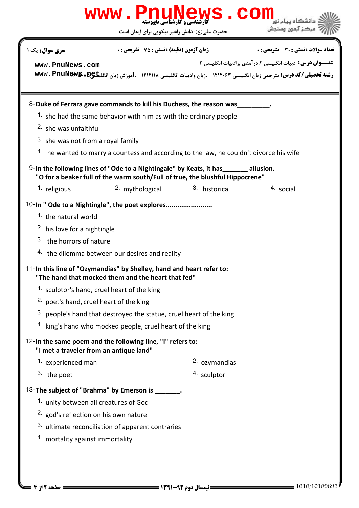|                                                                        | WWW.PnuNews.com                                                                                                                                                       |               |                                                                                                                     |  |  |
|------------------------------------------------------------------------|-----------------------------------------------------------------------------------------------------------------------------------------------------------------------|---------------|---------------------------------------------------------------------------------------------------------------------|--|--|
|                                                                        | حضرت علی(ع): دانش راهبر نیکویی برای ایمان است                                                                                                                         |               | مركز آزمون وسنجش                                                                                                    |  |  |
| <b>سری سوال :</b> یک ۱                                                 | <b>زمان آزمون (دقیقه) : تستی : 75 ٪ تشریحی : 0</b>                                                                                                                    |               | <b>تعداد سوالات : تستی : 30 ٪ تشریحی : 0</b>                                                                        |  |  |
| www.PnuNews.com                                                        |                                                                                                                                                                       |               | عنــوان درس: ادبیات انگلیسی ۰،۲رآمدی برادبیات انگلیسی ۲                                                             |  |  |
|                                                                        |                                                                                                                                                                       |               | رشته تحصیلی/کد درس: مترجمی زبان انگلیسی ۱۲۱۲۰۶۳ - ،زبان وادبیات انگلیسی ۱۲۱۲۱۱۸ - ،آموزش زبان انگلیکچ& www . PnuNew |  |  |
|                                                                        |                                                                                                                                                                       |               |                                                                                                                     |  |  |
|                                                                        | 8-Duke of Ferrara gave commands to kill his Duchess, the reason was                                                                                                   |               |                                                                                                                     |  |  |
|                                                                        | <sup>1</sup> she had the same behavior with him as with the ordinary people                                                                                           |               |                                                                                                                     |  |  |
| <sup>2.</sup> she was unfaithful<br>3. she was not from a royal family |                                                                                                                                                                       |               |                                                                                                                     |  |  |
|                                                                        | 4. he wanted to marry a countess and according to the law, he couldn't divorce his wife                                                                               |               |                                                                                                                     |  |  |
|                                                                        |                                                                                                                                                                       |               |                                                                                                                     |  |  |
|                                                                        | 9-In the following lines of "Ode to a Nightingale" by Keats, it has ______ allusion.<br>"O for a beaker full of the warm south/Full of true, the blushful Hippocrene" |               |                                                                                                                     |  |  |
| 1. religious                                                           | 2. mythological                                                                                                                                                       | 3. historical | 4. social                                                                                                           |  |  |
|                                                                        | 10-In " Ode to a Nightingle", the poet explores                                                                                                                       |               |                                                                                                                     |  |  |
| 1. the natural world                                                   |                                                                                                                                                                       |               |                                                                                                                     |  |  |
| 2. his love for a nightingle                                           |                                                                                                                                                                       |               |                                                                                                                     |  |  |
| 3. the horrors of nature                                               |                                                                                                                                                                       |               |                                                                                                                     |  |  |
|                                                                        | 4. the dilemma between our desires and reality                                                                                                                        |               |                                                                                                                     |  |  |
|                                                                        | 11-In this line of "Ozymandias" by Shelley, hand and heart refer to:<br>"The hand that mocked them and the heart that fed"                                            |               |                                                                                                                     |  |  |
| 1. sculptor's hand, cruel heart of the king                            |                                                                                                                                                                       |               |                                                                                                                     |  |  |
| <sup>2.</sup> poet's hand, cruel heart of the king                     |                                                                                                                                                                       |               |                                                                                                                     |  |  |
|                                                                        | 3. people's hand that destroyed the statue, cruel heart of the king                                                                                                   |               |                                                                                                                     |  |  |
|                                                                        | 4. king's hand who mocked people, cruel heart of the king                                                                                                             |               |                                                                                                                     |  |  |
| "I met a traveler from an antique land"                                | 12-In the same poem and the following line, "I" refers to:                                                                                                            |               |                                                                                                                     |  |  |
| 1. experienced man                                                     |                                                                                                                                                                       | 2. ozymandias |                                                                                                                     |  |  |
| 3. the poet                                                            |                                                                                                                                                                       | 4. sculptor   |                                                                                                                     |  |  |
|                                                                        | 13-The subject of "Brahma" by Emerson is _______.                                                                                                                     |               |                                                                                                                     |  |  |
| 1. unity between all creatures of God                                  |                                                                                                                                                                       |               |                                                                                                                     |  |  |
| <sup>2.</sup> god's reflection on his own nature                       |                                                                                                                                                                       |               |                                                                                                                     |  |  |
|                                                                        | 3. ultimate reconciliation of apparent contraries                                                                                                                     |               |                                                                                                                     |  |  |
| 4. mortality against immortality                                       |                                                                                                                                                                       |               |                                                                                                                     |  |  |
|                                                                        |                                                                                                                                                                       |               |                                                                                                                     |  |  |
|                                                                        |                                                                                                                                                                       |               |                                                                                                                     |  |  |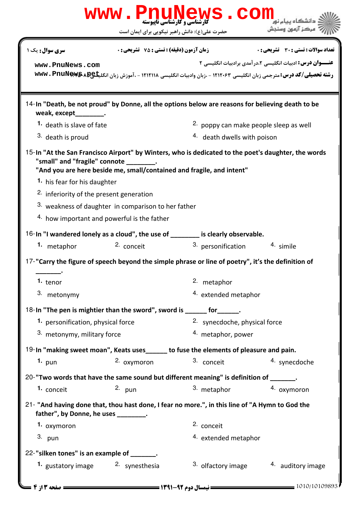|                                                                                                                                                                                                                                       |                                                     | WWW.PnuNews.con                                                       | انشگاه بیام نر                                                                                                                                                                  |
|---------------------------------------------------------------------------------------------------------------------------------------------------------------------------------------------------------------------------------------|-----------------------------------------------------|-----------------------------------------------------------------------|---------------------------------------------------------------------------------------------------------------------------------------------------------------------------------|
|                                                                                                                                                                                                                                       | حضرت علی(ع): دانش راهبر نیکویی برای ایمان است       |                                                                       | مركز آزمون وسنجش                                                                                                                                                                |
| <b>سری سوال :</b> یک ۱                                                                                                                                                                                                                | <b>زمان آزمون (دقیقه) : تستی : 75 تشریحی : 0</b>    |                                                                       | <b>تعداد سوالات : تستي : 30 ٪ تشريحي : 0</b>                                                                                                                                    |
| www.PnuNews.com                                                                                                                                                                                                                       |                                                     |                                                                       | عنــوان درس: ادبیات انگلیسی ۲،در آمدی برادبیات انگلیسی ۲<br>رشته تحصیلی/کد درس: مترجمی زبان انگلیسی ۱۲۱۲۰۶۳ - ،زبان وادبیات انگلیسی ۱۲۱۲۱۱۸ - ،آموزش زبان انگلیکه& www . PnuNew |
| 14-In "Death, be not proud" by Donne, all the options below are reasons for believing death to be<br>weak, except ________.                                                                                                           |                                                     |                                                                       |                                                                                                                                                                                 |
| 1. death is slave of fate                                                                                                                                                                                                             |                                                     |                                                                       | 2. poppy can make people sleep as well                                                                                                                                          |
| 3. death is proud                                                                                                                                                                                                                     |                                                     | 4. death dwells with poison                                           |                                                                                                                                                                                 |
| 15-In "At the San Francisco Airport" by Winters, who is dedicated to the poet's daughter, the words<br>"small" and "fragile" connote ________.<br>1. his fear for his daughter<br><sup>2.</sup> inferiority of the present generation | 3. weakness of daughter in comparison to her father | "And you are here beside me, small/contained and fragile, and intent" |                                                                                                                                                                                 |
| 4. how important and powerful is the father                                                                                                                                                                                           |                                                     |                                                                       |                                                                                                                                                                                 |
| 16-In "I wandered lonely as a cloud", the use of ________ is clearly observable.                                                                                                                                                      |                                                     |                                                                       |                                                                                                                                                                                 |
| 1. metaphor                                                                                                                                                                                                                           | 2. conceit                                          | 3. personification                                                    | 4. simile                                                                                                                                                                       |
| 17-"Carry the figure of speech beyond the simple phrase or line of poetry", it's the definition of                                                                                                                                    |                                                     |                                                                       |                                                                                                                                                                                 |
| 1. tenor                                                                                                                                                                                                                              |                                                     | 2. metaphor                                                           |                                                                                                                                                                                 |
| 3. metonymy                                                                                                                                                                                                                           |                                                     | 4. extended metaphor                                                  |                                                                                                                                                                                 |
| 18-In "The pen is mightier than the sword", sword is ______ for______.                                                                                                                                                                |                                                     |                                                                       |                                                                                                                                                                                 |
| 1. personification, physical force                                                                                                                                                                                                    |                                                     | 2. synecdoche, physical force                                         |                                                                                                                                                                                 |
| 3. metonymy, military force                                                                                                                                                                                                           |                                                     | 4. metaphor, power                                                    |                                                                                                                                                                                 |
| $19$ -In "making sweet moan", Keats uses______ to fuse the elements of pleasure and pain.                                                                                                                                             |                                                     |                                                                       |                                                                                                                                                                                 |
| 1. $pun$                                                                                                                                                                                                                              | 2. oxymoron                                         | 3. conceit                                                            | 4. synecdoche                                                                                                                                                                   |
| 20-"Two words that have the same sound but different meaning" is definition of ______.                                                                                                                                                |                                                     |                                                                       |                                                                                                                                                                                 |
| <sup>1.</sup> conceit                                                                                                                                                                                                                 | 2. $pun$                                            | 3. metaphor                                                           | 4. oxymoron                                                                                                                                                                     |
| 21- "And having done that, thou hast done, I fear no more.", in this line of "A Hymn to God the<br>father", by Donne, he uses _________.                                                                                              |                                                     |                                                                       |                                                                                                                                                                                 |
| 1. oxymoron                                                                                                                                                                                                                           |                                                     | 2. conceit                                                            |                                                                                                                                                                                 |
| $3.$ pun                                                                                                                                                                                                                              |                                                     | 4. extended metaphor                                                  |                                                                                                                                                                                 |
| 22-"silken tones" is an example of _______.                                                                                                                                                                                           |                                                     |                                                                       |                                                                                                                                                                                 |
| 1. gustatory image 2. synesthesia                                                                                                                                                                                                     |                                                     | <sup>3.</sup> olfactory image                                         | 4. auditory image                                                                                                                                                               |
|                                                                                                                                                                                                                                       |                                                     |                                                                       |                                                                                                                                                                                 |